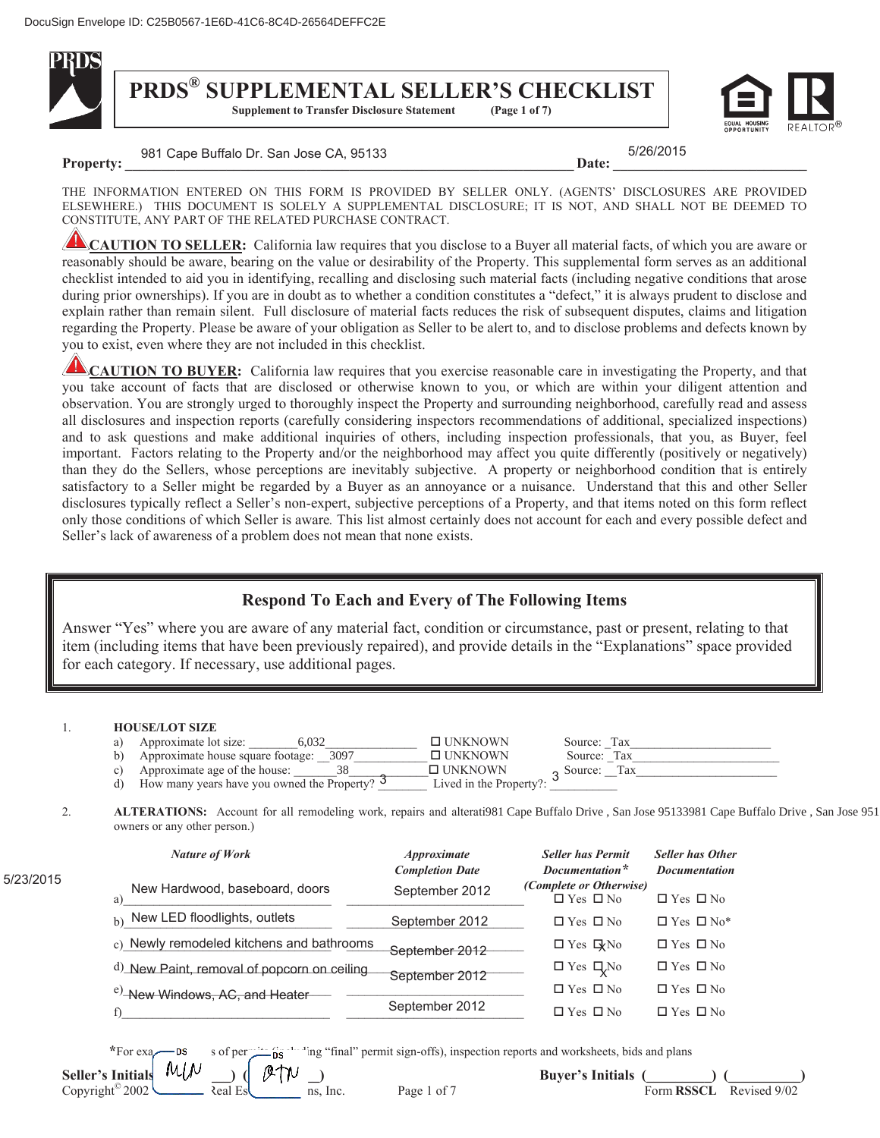

# **PRDS<sup>®</sup> SUPPLEMENTAL SELLER'S CHECKLIST**<br>Supplement to Transfer Disclosure Statement (Page 1 of 7)

**Supplement to Transfer Disclosure Statement** 



**Property:**  $\overline{a}$   $\overline{b}$   $\overline{c}$   $\overline{c}$   $\overline{c}$   $\overline{c}$   $\overline{c}$   $\overline{c}$   $\overline{c}$   $\overline{c}$   $\overline{c}$   $\overline{c}$   $\overline{c}$   $\overline{c}$   $\overline{c}$   $\overline{c}$   $\overline{c}$   $\overline{c}$   $\overline{c}$   $\overline{c}$   $\overline{c}$   $\overline{c}$   $\overline{c}$   $\over$ 981 Cape Buffalo Dr. San Jose CA, 95133 5/26

5/26/2015

THE INFORMATION ENTERED ON THIS FORM IS PROVIDED BY SELLER ONLY. (AGENTS' DISCLOSURES ARE PROVIDED ELSEWHERE.) THIS DOCUMENT IS SOLELY A SUPPLEMENTAL DISCLOSURE; IT IS NOT, AND SHALL NOT BE DEEMED TO CONSTITUTE, ANY PART OF THE RELATED PURCHASE CONTRACT.

**CAUTION TO SELLER:** California law requires that you disclose to a Buyer all material facts, of which you are aware or reasonably should be aware, bearing on the value or desirability of the Property. This supplemental form serves as an additional checklist intended to aid you in identifying, recalling and disclosing such material facts (including negative conditions that arose during prior ownerships). If you are in doubt as to whether a condition constitutes a "defect," it is always prudent to disclose and explain rather than remain silent. Full disclosure of material facts reduces the risk of subsequent disputes, claims and litigation regarding the Property. Please be aware of your obligation as Seller to be alert to, and to disclose problems and defects known by you to exist, even where they are not included in this checklist.

**CAUTION TO BUYER:** California law requires that you exercise reasonable care in investigating the Property, and that you take account of facts that are disclosed or otherwise known to you, or which are within your diligent attention and observation. You are strongly urged to thoroughly inspect the Property and surrounding neighborhood, carefully read and assess all disclosures and inspection reports (carefully considering inspectors recommendations of additional, specialized inspections) and to ask questions and make additional inquiries of others, including inspection professionals, that you, as Buyer, feel important. Factors relating to the Property and/or the neighborhood may affect you quite differently (positively or negatively) than they do the Sellers, whose perceptions are inevitably subjective. A property or neighborhood condition that is entirely satisfactory to a Seller might be regarded by a Buyer as an annoyance or a nuisance. Understand that this and other Seller disclosures typically reflect a Seller's non-expert, subjective perceptions of a Property, and that items noted on this form reflect only those conditions of which Seller is aware*.* This list almost certainly does not account for each and every possible defect and Seller's lack of awareness of a problem does not mean that none exists.

## **Respond To Each and Every of The Following Items**

Answer "Yes" where you are aware of any material fact, condition or circumstance, past or present, relating to that item (including items that have been previously repaired), and provide details in the "Explanations" space provided for each category. If necessary, use additional pages.

## 1. **HOUSE/LOT SIZE**

|    | Approximate lot size:<br>6.032                           | $\Box$ UNKNOWN          | Source: Tax |     |
|----|----------------------------------------------------------|-------------------------|-------------|-----|
| b) | Approximate house square footage: 3097                   | $\Box$ UNKNOWN          | Source: Tax |     |
|    | Approximate age of the house:                            | $\Box$ UNKNOWN          | Source:     | Tax |
|    | How many years have you owned the Property? <sup>5</sup> | Lived in the Property?: |             |     |

2. **ALTERATIONS:** Account for all remodeling work, repairs and alterati981 Cape Buffalo Drive , San Jose 95133981 Cape Buffalo Drive , San Jose 951 owners or any other person.)

|         | <b>Nature of Work</b>                       | <i><b>Approximate</b></i><br><b>Completion Date</b> | <b>Seller has Permit</b><br>Documentation*             | <b>Seller has Other</b><br><b>Documentation</b> |
|---------|---------------------------------------------|-----------------------------------------------------|--------------------------------------------------------|-------------------------------------------------|
| 23/2015 | New Hardwood, baseboard, doors<br>a)        | September 2012                                      | <i>(Complete or Otherwise)</i><br>$\Box$ Yes $\Box$ No | $\Box$ Yes $\Box$ No                            |
|         | b) New LED floodlights, outlets             | September 2012                                      | $\Box$ Yes $\Box$ No                                   | $\Box$ Yes $\Box$ No <sup>*</sup>               |
|         | c) Newly remodeled kitchens and bathrooms   | September 2012                                      | $\Box$ Yes $\Box$ <sub>No</sub>                        | $\Box$ Yes $\Box$ No                            |
|         | d) New Paint, removal of popcorn on ceiling | September 2012                                      | $\Box$ Yes $\Box$ No                                   | $\Box$ Yes $\Box$ No                            |
|         | <sup>e)</sup> -New Windows, AC, and Heater- |                                                     | $\Box$ Yes $\Box$ No                                   | $\Box$ Yes $\Box$ No                            |
|         | $\sim$                                      | September 2012                                      | $\Box$ $\mathbf{v}$ $\Box$ $\mathbf{v}$                | $\Box$ $\mathbf{v}$ $\Box$ $\mathbf{v}$         |

f) the contract of the september  $2012$   $\Box$  Yes  $\Box$  No  $\Box$  Yes  $\Box$  No  $\Box$  Yes  $\Box$  No

 $5/$ 

\*For examples of permits (including "final" permit sign-offs), inspection reports and worksheets, bids and plans

**Seller's Initials**  $\begin{bmatrix} M/\hspace{-.5mm}\backslash \end{bmatrix}$  **(** $\begin{bmatrix} \emptyset \\ \emptyset \end{bmatrix}$  $\begin{bmatrix} N \end{bmatrix}$  $\begin{bmatrix} \bigcirc \bigcirc \mathsf{I} \end{bmatrix}$  $\begin{bmatrix} \mathsf{I} \end{bmatrix}$  $\begin{bmatrix} \mathsf{I} \end{bmatrix}$  $\begin{bmatrix} \mathsf{I} \end{bmatrix}$  $\begin{bmatrix} \mathsf{I} \end{bmatrix}$  $\begin{bmatrix} \mathsf{I} \end{bmatrix}$  **\begin{b Company Advanced Real Estate Solutions, Inc.** Page 1 of 7 Form **RSSCL** Revised 9/02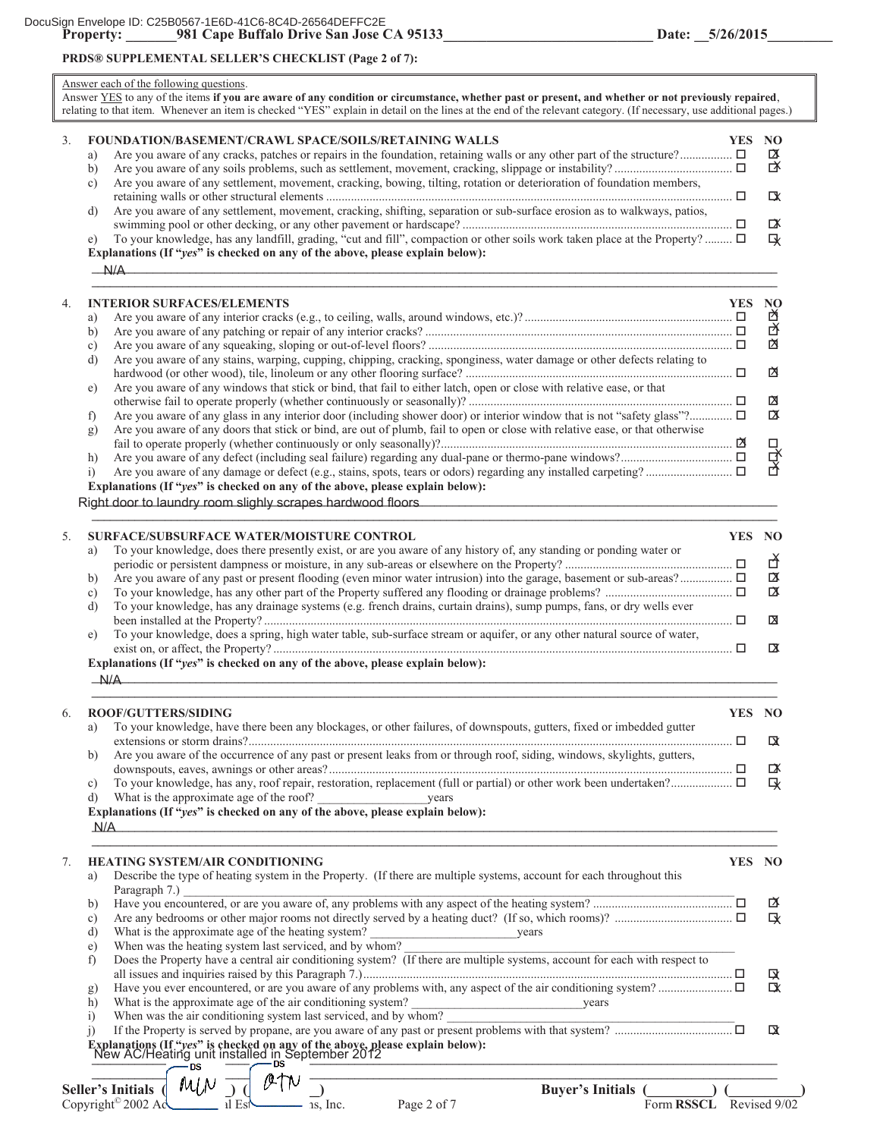## **PRDS® SUPPLEMENTAL SELLER'S CHECKLIST (Page 2 of 7):**

## Answer each of the following questions.

| Answer YES to any of the items if you are aware of any condition or circumstance, whether past or present, and whether or not previously repaired,<br>relating to that item. Whenever an item is checked "YES" explain in detail on the lines at the end of the relevant category. (If necessary, use additional pages.)                                                                                                                                                                                                                                                                                                                                                                                                                   |            |                                         |
|--------------------------------------------------------------------------------------------------------------------------------------------------------------------------------------------------------------------------------------------------------------------------------------------------------------------------------------------------------------------------------------------------------------------------------------------------------------------------------------------------------------------------------------------------------------------------------------------------------------------------------------------------------------------------------------------------------------------------------------------|------------|-----------------------------------------|
| <b>FOUNDATION/BASEMENT/CRAWL SPACE/SOILS/RETAINING WALLS</b><br>3.<br>a)<br>b)<br>Are you aware of any settlement, movement, cracking, bowing, tilting, rotation or deterioration of foundation members,<br>c)<br>Are you aware of any settlement, movement, cracking, shifting, separation or sub-surface erosion as to walkways, patios,<br>d)<br>To your knowledge, has any landfill, grading, "cut and fill", compaction or other soils work taken place at the Property? $\Box$<br>e)<br>Explanations (If "yes" is checked on any of the above, please explain below):<br>N/A                                                                                                                                                         | YES NO     | <b>Σ</b><br><br>LX<br>$\mathbb{R}$<br>及 |
| <b>INTERIOR SURFACES/ELEMENTS</b><br>4.<br>a)<br>b)<br>c)<br>Are you aware of any stains, warping, cupping, chipping, cracking, sponginess, water damage or other defects relating to<br>d)                                                                                                                                                                                                                                                                                                                                                                                                                                                                                                                                                | <b>YES</b> | $\bf NO$<br>囟<br>区<br>囟<br>囟            |
| Are you aware of any windows that stick or bind, that fail to either latch, open or close with relative ease, or that<br>e)<br>f)<br>Are you aware of any doors that stick or bind, are out of plumb, fail to open or close with relative ease, or that otherwise<br>g)<br>h)<br>$\ddot{1}$<br>Explanations (If "yes" is checked on any of the above, please explain below):<br>Right door to laundry room slighly scrapes hardwood floors                                                                                                                                                                                                                                                                                                 |            | 囟<br>$\alpha$<br>모모모                    |
| SURFACE/SUBSURFACE WATER/MOISTURE CONTROL<br>5.<br>To your knowledge, does there presently exist, or are you aware of any history of, any standing or ponding water or<br>a)<br>b)<br>c)<br>To your knowledge, has any drainage systems (e.g. french drains, curtain drains), sump pumps, fans, or dry wells ever<br>d)<br>To your knowledge, does a spring, high water table, sub-surface stream or aquifer, or any other natural source of water,<br>e)<br>Explanations (If "yes" is checked on any of the above, please explain below):                                                                                                                                                                                                 | <b>YES</b> | NO<br>子<br>区<br>区<br>X<br>$\alpha$      |
| N/A<br>ROOF/GUTTERS/SIDING<br>6.<br>a) To your knowledge, have there been any blockages, or other failures, of downspouts, gutters, fixed or imbedded gutter<br>Are you aware of the occurrence of any past or present leaks from or through roof, siding, windows, skylights, gutters,<br>b)<br>C)<br>d)<br>Explanations (If "yes" is checked on any of the above, please explain below):<br>N/A                                                                                                                                                                                                                                                                                                                                          | YES NO     | 攺<br>$\mathbb{R}$<br>及                  |
| <b>HEATING SYSTEM/AIR CONDITIONING</b><br>7.<br>Describe the type of heating system in the Property. (If there are multiple systems, account for each throughout this<br>a)<br>Paragraph 7.) $\Box$<br>Have you encountered, or are you aware of, any problems with any aspect of the heating system?<br>b)<br>c)<br>What is the approximate age of the heating system?<br>When was the heating system last serviced, and by whom?<br>Does the Property have a central air conditioning system? (If there are multiple systems, account for each with res<br>d)<br>e)<br>f)<br>g)<br>h)                                                                                                                                                    | YES NO     | Ճ<br>へいる<br>咏<br>以                      |
| What is the approximate age of the air conditioning system?<br>When was the air conditioning system last serviced, and by whom?<br>If the Property is served by propane, are you aware of any past or present problems with that sys<br>$\overline{1}$<br>$\overline{1}$<br>Explanations (If "yes" is checked on any of the above, please explain below):<br>New AC/Heating unit installed in September 2012<br><u> 1989 - Johann John Stein, marwolaeth a bhaile an t-Amhain an t-Amhain an t-Amhain an t-Amhain an t-Amhain an </u><br>$MUN$ $\overline{)}$<br>Buyer's Initials (Company) (<br>Seller's Initials (<br>Copyright <sup>©</sup> 2002 Ac $\bigcup_{\text{ll Eyl}}$<br>$-$ is, Inc.<br>Form RSSCL Revised 9/02<br>Page 2 of 7 |            | <b>IX</b>                               |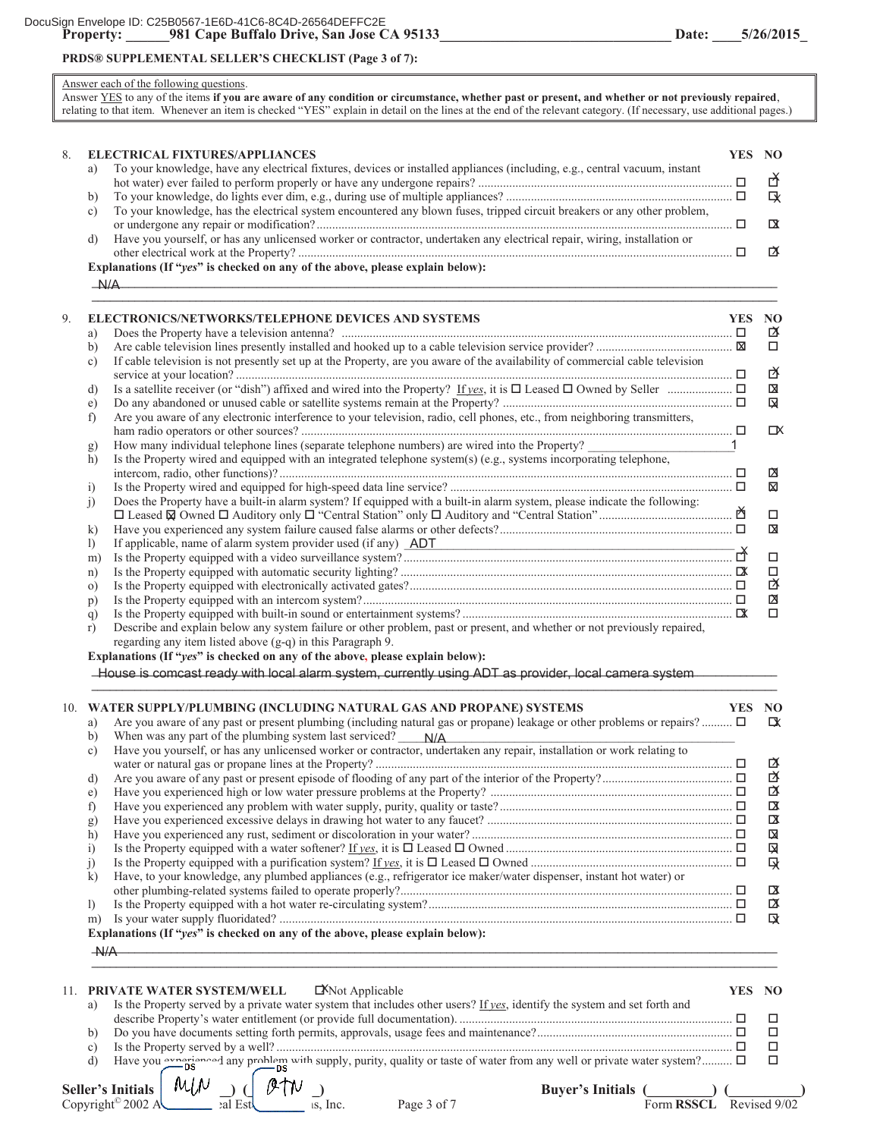## **PRDS® SUPPLEMENTAL SELLER'S CHECKLIST (Page 3 of 7):**

#### Answer each of the following questions.

 $A/A$ 

Answer YES to any of the items **if you are aware of any condition or circumstance, whether past or present, and whether or not previously repaired**, relating to that item. Whenever an item is checked "YES" explain in detail on the lines at the end of the relevant category. (If necessary, use additional pages.)

| 8. |    | <b>ELECTRICAL FIXTURES/APPLIANCES</b>                                                                                      | YES NO |   |
|----|----|----------------------------------------------------------------------------------------------------------------------------|--------|---|
|    |    |                                                                                                                            |        |   |
|    |    | To your knowledge, have any electrical fixtures, devices or installed appliances (including, e.g., central vacuum, instant |        |   |
|    |    |                                                                                                                            |        |   |
|    |    |                                                                                                                            |        | ■ |
|    |    | To your knowledge, has the electrical system encountered any blown fuses, tripped circuit breakers or any other problem,   |        |   |
|    |    |                                                                                                                            |        |   |
|    | d) | Have you yourself, or has any unlicensed worker or contractor, undertaken any electrical repair, wiring, installation or   |        |   |
|    |    |                                                                                                                            |        |   |
|    |    | Explanations (If "yes" is checked on any of the above, please explain below):                                              |        |   |

 $\mathsf{N} / \Delta$ 

| a)           | <b>ELECTRONICS/NETWORKS/TELEPHONE DEVICES AND SYSTEMS</b><br>Does the Property have a television antenna? $\Box$              | <b>YES</b> | NO.<br>ΓX |
|--------------|-------------------------------------------------------------------------------------------------------------------------------|------------|-----------|
| b)           |                                                                                                                               |            | $\Box$    |
| c)           | If cable television is not presently set up at the Property, are you aware of the availability of commercial cable television |            | 啓         |
| d)           |                                                                                                                               |            | 図         |
| e)           |                                                                                                                               |            | ⊠         |
| f)           | Are you aware of any electronic interference to your television, radio, cell phones, etc., from neighboring transmitters,     |            |           |
|              |                                                                                                                               |            | ГX        |
| g)           | How many individual telephone lines (separate telephone numbers) are wired into the Property?                                 |            |           |
| h)           | Is the Property wired and equipped with an integrated telephone system(s) (e.g., systems incorporating telephone,             |            |           |
|              |                                                                                                                               |            | 囟         |
| 1)           |                                                                                                                               | □          | ⊠         |
| $_{1}$       | Does the Property have a built-in alarm system? If equipped with a built-in alarm system, please indicate the following:      |            |           |
|              |                                                                                                                               | ň          | $\Box$    |
| $\bf{k}$     |                                                                                                                               |            | ⊠         |
| $\mathbf{D}$ | If applicable, name of alarm system provider used (if any) ADT                                                                |            |           |
| m)           |                                                                                                                               |            | $\Box$    |
| n)           |                                                                                                                               |            | $\Box$    |
| $\Omega$     |                                                                                                                               |            | 啓         |
| p)           |                                                                                                                               |            | <b>X</b>  |
| q)           |                                                                                                                               |            | $\Box$    |
| r)           | Describe and explain below any system failure or other problem, past or present, and whether or not previously repaired,      |            |           |

regarding any item listed above (g-q) in this Paragraph 9.

**Explanations (If "***yes***" is checked on any of the above, please explain below):** 

House is comcast ready with local alarm system, currently using ADT as provider, local camera system **\_\_\_\_\_\_\_\_\_\_\_\_\_\_\_\_\_\_\_\_\_\_\_\_\_\_\_\_\_\_\_\_\_\_\_\_\_\_\_\_\_\_\_\_\_\_\_\_\_\_\_\_\_\_\_\_\_\_\_\_\_\_\_\_\_\_\_\_\_\_\_\_\_\_\_\_\_\_\_\_\_\_\_\_\_\_\_\_\_\_\_\_\_\_\_\_\_\_\_\_\_\_\_\_\_\_\_\_\_\_\_\_**

| Are you aware of any past or present plumbing (including natural gas or propane) leakage or other problems or repairs?<br>a)<br>When was any part of the plumbing system last serviced? $N/A$<br>b)<br>Have you yourself, or has any unlicensed worker or contractor, undertaken any repair, installation or work relating to<br>c)<br>啓<br>d)<br>啓<br>e)<br>$\mathbf{a}$<br>f<br><b>x</b><br>g)<br>図<br>h)<br>図<br>$_{1}$<br>及<br>$_{1}$<br>Have, to your knowledge, any plumbed appliances (e.g., refrigerator ice maker/water dispenser, instant hot water) or<br>$\bf k$<br>$\mathbf{a}$<br>₫<br>$\mathbf{D}$<br><b>IX</b><br>m)<br>Explanations (If "yes" is checked on any of the above, please explain below):<br>$A$ / $A$<br>PRIVATE WATER SYSTEM/WELL<br>$\Box$ KNot Applicable<br><b>YES</b><br>11<br>Is the Property served by a private water system that includes other users? If yes, identify the system and set forth and<br>a)<br>$\Box$<br>$\Box$<br>b) |    | 10. WATER SUPPLY/PLUMBING (INCLUDING NATURAL GAS AND PROPANE) SYSTEMS | <b>YES</b> | NO. |
|----------------------------------------------------------------------------------------------------------------------------------------------------------------------------------------------------------------------------------------------------------------------------------------------------------------------------------------------------------------------------------------------------------------------------------------------------------------------------------------------------------------------------------------------------------------------------------------------------------------------------------------------------------------------------------------------------------------------------------------------------------------------------------------------------------------------------------------------------------------------------------------------------------------------------------------------------------------------------|----|-----------------------------------------------------------------------|------------|-----|
|                                                                                                                                                                                                                                                                                                                                                                                                                                                                                                                                                                                                                                                                                                                                                                                                                                                                                                                                                                            |    |                                                                       |            | Ⅳ   |
|                                                                                                                                                                                                                                                                                                                                                                                                                                                                                                                                                                                                                                                                                                                                                                                                                                                                                                                                                                            |    |                                                                       |            |     |
|                                                                                                                                                                                                                                                                                                                                                                                                                                                                                                                                                                                                                                                                                                                                                                                                                                                                                                                                                                            |    |                                                                       |            |     |
|                                                                                                                                                                                                                                                                                                                                                                                                                                                                                                                                                                                                                                                                                                                                                                                                                                                                                                                                                                            |    |                                                                       |            | ซ   |
|                                                                                                                                                                                                                                                                                                                                                                                                                                                                                                                                                                                                                                                                                                                                                                                                                                                                                                                                                                            |    |                                                                       |            |     |
|                                                                                                                                                                                                                                                                                                                                                                                                                                                                                                                                                                                                                                                                                                                                                                                                                                                                                                                                                                            |    |                                                                       |            |     |
|                                                                                                                                                                                                                                                                                                                                                                                                                                                                                                                                                                                                                                                                                                                                                                                                                                                                                                                                                                            |    |                                                                       |            |     |
|                                                                                                                                                                                                                                                                                                                                                                                                                                                                                                                                                                                                                                                                                                                                                                                                                                                                                                                                                                            |    |                                                                       |            |     |
|                                                                                                                                                                                                                                                                                                                                                                                                                                                                                                                                                                                                                                                                                                                                                                                                                                                                                                                                                                            |    |                                                                       |            |     |
|                                                                                                                                                                                                                                                                                                                                                                                                                                                                                                                                                                                                                                                                                                                                                                                                                                                                                                                                                                            |    |                                                                       |            |     |
|                                                                                                                                                                                                                                                                                                                                                                                                                                                                                                                                                                                                                                                                                                                                                                                                                                                                                                                                                                            |    |                                                                       |            |     |
|                                                                                                                                                                                                                                                                                                                                                                                                                                                                                                                                                                                                                                                                                                                                                                                                                                                                                                                                                                            |    |                                                                       |            |     |
|                                                                                                                                                                                                                                                                                                                                                                                                                                                                                                                                                                                                                                                                                                                                                                                                                                                                                                                                                                            |    |                                                                       |            |     |
|                                                                                                                                                                                                                                                                                                                                                                                                                                                                                                                                                                                                                                                                                                                                                                                                                                                                                                                                                                            |    |                                                                       |            |     |
|                                                                                                                                                                                                                                                                                                                                                                                                                                                                                                                                                                                                                                                                                                                                                                                                                                                                                                                                                                            |    |                                                                       |            |     |
|                                                                                                                                                                                                                                                                                                                                                                                                                                                                                                                                                                                                                                                                                                                                                                                                                                                                                                                                                                            |    |                                                                       |            |     |
|                                                                                                                                                                                                                                                                                                                                                                                                                                                                                                                                                                                                                                                                                                                                                                                                                                                                                                                                                                            |    |                                                                       |            |     |
|                                                                                                                                                                                                                                                                                                                                                                                                                                                                                                                                                                                                                                                                                                                                                                                                                                                                                                                                                                            |    |                                                                       |            |     |
|                                                                                                                                                                                                                                                                                                                                                                                                                                                                                                                                                                                                                                                                                                                                                                                                                                                                                                                                                                            |    |                                                                       |            |     |
|                                                                                                                                                                                                                                                                                                                                                                                                                                                                                                                                                                                                                                                                                                                                                                                                                                                                                                                                                                            |    |                                                                       |            | NO  |
|                                                                                                                                                                                                                                                                                                                                                                                                                                                                                                                                                                                                                                                                                                                                                                                                                                                                                                                                                                            |    |                                                                       |            |     |
|                                                                                                                                                                                                                                                                                                                                                                                                                                                                                                                                                                                                                                                                                                                                                                                                                                                                                                                                                                            |    |                                                                       |            |     |
|                                                                                                                                                                                                                                                                                                                                                                                                                                                                                                                                                                                                                                                                                                                                                                                                                                                                                                                                                                            |    |                                                                       |            |     |
|                                                                                                                                                                                                                                                                                                                                                                                                                                                                                                                                                                                                                                                                                                                                                                                                                                                                                                                                                                            | c) |                                                                       |            | П   |

d) Have you experienced any problem with supply, purity, quality or taste of water from any well or private water system?..........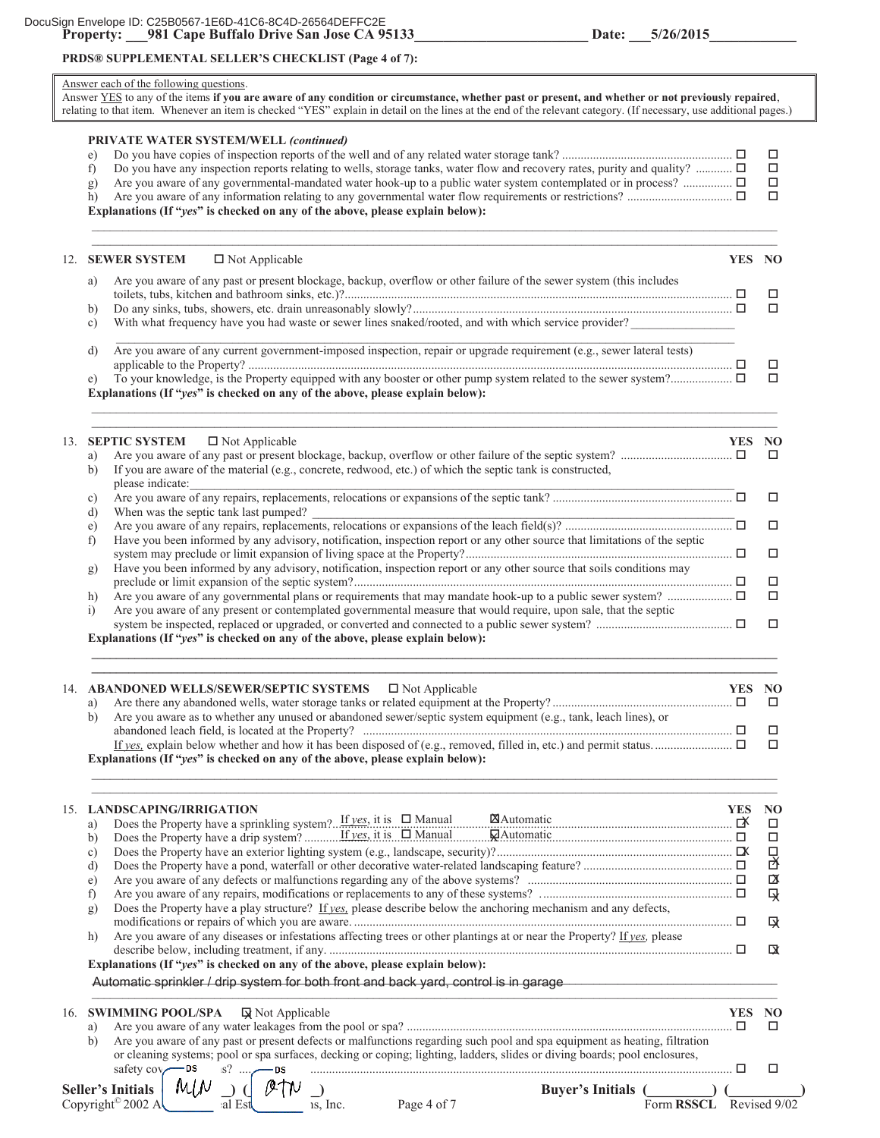## **PRDS® SUPPLEMENTAL SELLER'S CHECKLIST (Page 4 of 7):**

#### Answer each of the following questions.

Answer YES to any of the items **if you are aware of any condition or circumstance, whether past or present, and whether or not previously repaired**, relating to that item. Whenever an item is checked "YES" explain in detail on the lines at the end of the relevant category. (If necessary, use additional pages.)

## **PRIVATE WATER SYSTEM/WELL** *(continued)* e) Do you have copies of inspection reports of the well and of any related water storage tank? ....................................................... f) Do you have any inspection reports relating to wells, storage tanks, water flow and recovery rates, purity and quality? ............ g) Are you aware of any governmental-mandated water hook-up to a public water system contemplated or in process? ................ h) Are you aware of any information relating to any governmental water flow requirements or restrictions? .................................. **Explanations (If "***yes***" is checked on any of the above, please explain below):**   $\mathcal{L}_\mathcal{L} = \mathcal{L}_\mathcal{L} = \mathcal{L}_\mathcal{L} = \mathcal{L}_\mathcal{L} = \mathcal{L}_\mathcal{L} = \mathcal{L}_\mathcal{L} = \mathcal{L}_\mathcal{L} = \mathcal{L}_\mathcal{L} = \mathcal{L}_\mathcal{L} = \mathcal{L}_\mathcal{L} = \mathcal{L}_\mathcal{L} = \mathcal{L}_\mathcal{L} = \mathcal{L}_\mathcal{L} = \mathcal{L}_\mathcal{L} = \mathcal{L}_\mathcal{L} = \mathcal{L}_\mathcal{L} = \mathcal{L}_\mathcal{L}$  $\mathcal{L}_\mathcal{L} = \mathcal{L}_\mathcal{L} = \mathcal{L}_\mathcal{L} = \mathcal{L}_\mathcal{L} = \mathcal{L}_\mathcal{L} = \mathcal{L}_\mathcal{L} = \mathcal{L}_\mathcal{L} = \mathcal{L}_\mathcal{L} = \mathcal{L}_\mathcal{L} = \mathcal{L}_\mathcal{L} = \mathcal{L}_\mathcal{L} = \mathcal{L}_\mathcal{L} = \mathcal{L}_\mathcal{L} = \mathcal{L}_\mathcal{L} = \mathcal{L}_\mathcal{L} = \mathcal{L}_\mathcal{L} = \mathcal{L}_\mathcal{L}$ 12. **SEWER SYSTEM**  $\Box$  Not Applicable **YES** NO a) Are you aware of any past or present blockage, backup, overflow or other failure of the sewer system (this includes toilets, tubs, kitchen and bathroom sinks, etc.)?............................................................................................................................. b) Do any sinks, tubs, showers, etc. drain unreasonably slowly?....................................................................................................... c) With what frequency have you had waste or sewer lines snaked/rooted, and with which service provider? d) Are you aware of any current government-imposed inspection, repair or upgrade requirement (e.g., sewer lateral tests) applicable to the Property? ............................................................................................................................................................ e) To your knowledge, is the Property equipped with any booster or other pump system related to the sewer system?.................... **Explanations (If "***yes***" is checked on any of the above, please explain below):**   $\mathcal{L}_\mathcal{L} = \mathcal{L}_\mathcal{L} = \mathcal{L}_\mathcal{L} = \mathcal{L}_\mathcal{L} = \mathcal{L}_\mathcal{L} = \mathcal{L}_\mathcal{L} = \mathcal{L}_\mathcal{L} = \mathcal{L}_\mathcal{L} = \mathcal{L}_\mathcal{L} = \mathcal{L}_\mathcal{L} = \mathcal{L}_\mathcal{L} = \mathcal{L}_\mathcal{L} = \mathcal{L}_\mathcal{L} = \mathcal{L}_\mathcal{L} = \mathcal{L}_\mathcal{L} = \mathcal{L}_\mathcal{L} = \mathcal{L}_\mathcal{L}$  $\mathcal{L}_\mathcal{L} = \mathcal{L}_\mathcal{L} = \mathcal{L}_\mathcal{L} = \mathcal{L}_\mathcal{L} = \mathcal{L}_\mathcal{L} = \mathcal{L}_\mathcal{L} = \mathcal{L}_\mathcal{L} = \mathcal{L}_\mathcal{L} = \mathcal{L}_\mathcal{L} = \mathcal{L}_\mathcal{L} = \mathcal{L}_\mathcal{L} = \mathcal{L}_\mathcal{L} = \mathcal{L}_\mathcal{L} = \mathcal{L}_\mathcal{L} = \mathcal{L}_\mathcal{L} = \mathcal{L}_\mathcal{L} = \mathcal{L}_\mathcal{L}$ 13. **SEPTIC SYSTEM**  $\Box$  Not Applicable YES NO a) Are you aware of any past or present blockage, backup, overflow or other failure of the septic system? .................................... b) If you are aware of the material (e.g., concrete, redwood, etc.) of which the septic tank is constructed, please indicate: c) Are you aware of any repairs, replacements, relocations or expansions of the septic tank? .......................................................... d) When was the septic tank last pumped? e) Are you aware of any repairs, replacements, relocations or expansions of the leach field(s)? ...................................................... f) Have you been informed by any advisory, notification, inspection report or any other source that limitations of the septic system may preclude or limit expansion of living space at the Property?...................................................................................... g) Have you been informed by any advisory, notification, inspection report or any other source that soils conditions may preclude or limit expansion of the septic system?.......................................................................................................................... h) Are you aware of any governmental plans or requirements that may mandate hook-up to a public sewer system? .....................

|                                                                                   |  |  |  |  | Are you aware of any present or contemplated governmental measure that would require, upon sale, that the septic |  |  |  |  |  |
|-----------------------------------------------------------------------------------|--|--|--|--|------------------------------------------------------------------------------------------------------------------|--|--|--|--|--|
|                                                                                   |  |  |  |  |                                                                                                                  |  |  |  |  |  |
| Explanations (If " $ves$ " is checked on any of the above, please explain below): |  |  |  |  |                                                                                                                  |  |  |  |  |  |
|                                                                                   |  |  |  |  |                                                                                                                  |  |  |  |  |  |

|                                                                                                                       | YES NO |  |
|-----------------------------------------------------------------------------------------------------------------------|--------|--|
| a)                                                                                                                    |        |  |
| Are you aware as to whether any unused or abandoned sewer/septic system equipment (e.g., tank, leach lines), or<br>b) |        |  |
|                                                                                                                       |        |  |
|                                                                                                                       |        |  |
| Explanations (If " $ves$ " is checked on any of the above, please explain below):                                     |        |  |

| 15. | <b>LANDSCAPING/IRRIGATION</b><br>a)<br>h)<br>e)<br>Does the Property have a play structure? If $v_{\text{eS}}$ please describe below the anchoring mechanism and any defects,<br>g)<br>Are you aware of any diseases or infestations affecting trees or other plantings at or near the Property? If yes, please<br>h)<br>Explanations (If "yes" is checked on any of the above, please explain below):<br>Automatic sprinkler / drip system for both front and back yard, control is in garage | YES<br>ಗ | 吕<br>x<br>及<br>Q<br>ГX |
|-----|------------------------------------------------------------------------------------------------------------------------------------------------------------------------------------------------------------------------------------------------------------------------------------------------------------------------------------------------------------------------------------------------------------------------------------------------------------------------------------------------|----------|------------------------|
| 16. | SWIMMING POOL/SPA   Ly Not Applicable<br>a)<br>Are you aware of any past or present defects or malfunctions regarding such pool and spa equipment as heating, filtration<br>b)<br>or cleaning systems; pool or spa surfaces, decking or coping; lighting, ladders, slides or diving boards; pool enclosures,<br>safety cov<br>$S$ ?                                                                                                                                                            |          |                        |
|     | Seller's Initials<br><b>Buver's Initials</b><br>Copyright <sup>©</sup> 2002 A<br>Form RSSCL<br>is. Inc.<br>:al<br>Page 4 of 7                                                                                                                                                                                                                                                                                                                                                                  |          | Revised 9/02           |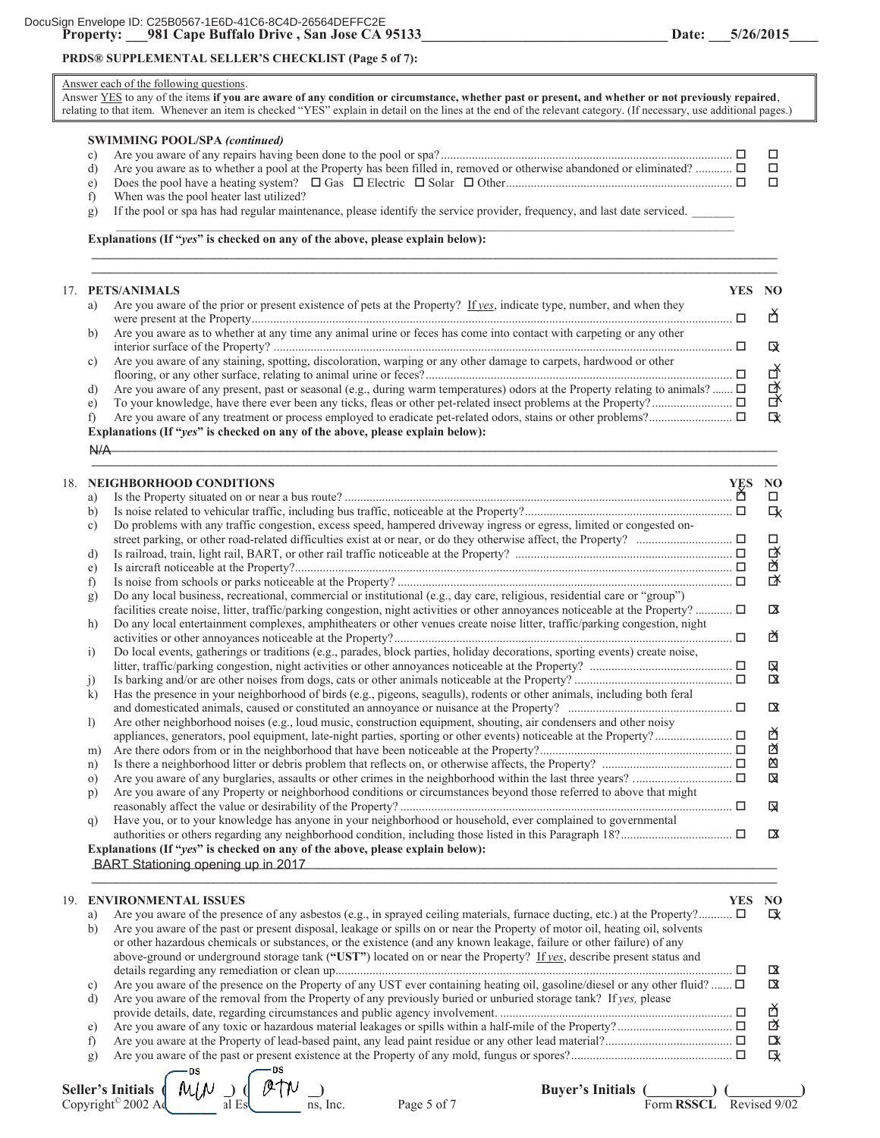## **PRDS® SUPPLEMENTAL SELLER'S CHECKLIST (Page 5 of 7):**

|  |  |  |  | Answer each of the following questions. |  |
|--|--|--|--|-----------------------------------------|--|
|  |  |  |  |                                         |  |

Answer YES to any of the items **if you are aware of any condition or circumstance, whether past or present, and whether or not previously repaired**, relating to that item. Whenever an item is checked "YES" explain in detail on the lines at the end of the relevant category. (If necessary, use additional pages.)

|  | <b>SWIMMING POOL/SPA (continued)</b>                                                                                        |  |
|--|-----------------------------------------------------------------------------------------------------------------------------|--|
|  |                                                                                                                             |  |
|  | Are you aware as to whether a pool at the Property has been filled in, removed or otherwise abandoned or eliminated? $\Box$ |  |
|  |                                                                                                                             |  |
|  | When was the pool heater last utilized?                                                                                     |  |

**\_\_\_\_\_\_\_\_\_\_\_\_\_\_\_\_\_\_\_\_\_\_\_\_\_\_\_\_\_\_\_\_\_\_\_\_\_\_\_\_\_\_\_\_\_\_\_\_\_\_\_\_\_\_\_\_\_\_\_\_\_\_\_\_\_\_\_\_\_\_\_\_\_\_\_\_\_\_\_\_\_\_\_\_\_\_\_\_\_\_\_\_\_\_\_\_\_\_\_\_\_\_\_\_\_\_\_\_\_\_\_\_** 

g) If the pool or spa has had regular maintenance, please identify the service provider, frequency, and last date serviced.

 $\mathcal{L}_\mathcal{L} = \mathcal{L}_\mathcal{L} = \mathcal{L}_\mathcal{L} = \mathcal{L}_\mathcal{L} = \mathcal{L}_\mathcal{L} = \mathcal{L}_\mathcal{L} = \mathcal{L}_\mathcal{L} = \mathcal{L}_\mathcal{L} = \mathcal{L}_\mathcal{L} = \mathcal{L}_\mathcal{L} = \mathcal{L}_\mathcal{L} = \mathcal{L}_\mathcal{L} = \mathcal{L}_\mathcal{L} = \mathcal{L}_\mathcal{L} = \mathcal{L}_\mathcal{L} = \mathcal{L}_\mathcal{L} = \mathcal{L}_\mathcal{L}$ 

**Explanations (If "***yes***" is checked on any of the above, please explain below):** 

|    | 17. PETS/ANIMALS                                                                                                           | YES NO |              |
|----|----------------------------------------------------------------------------------------------------------------------------|--------|--------------|
| a) | Are you aware of the prior or present existence of pets at the Property? If yes, indicate type, number, and when they      |        |              |
| b) | Are you aware as to whether at any time any animal urine or feces has come into contact with carpeting or any other        |        | ГX           |
| C) | Are you aware of any staining, spotting, discoloration, warping or any other damage to carpets, hardwood or other          |        |              |
| d) | Are you aware of any present, past or seasonal (e.g., during warm temperatures) odors at the Property relating to animals? |        | 啓            |
| e) |                                                                                                                            |        | 子            |
|    |                                                                                                                            |        | $\mathbf{R}$ |

**\_\_\_\_\_\_\_\_\_\_\_\_\_\_\_\_\_\_\_\_\_\_\_\_\_\_\_\_\_\_\_\_\_\_\_\_\_\_\_\_\_\_\_\_\_\_\_\_\_\_\_\_\_\_\_\_\_\_\_\_\_\_\_\_\_\_\_\_\_\_\_\_\_\_\_\_\_\_\_\_\_\_\_\_\_\_\_\_\_\_\_\_\_\_\_\_\_\_\_\_\_\_\_\_\_\_\_\_\_\_\_\_** 

 $\Delta I/\Delta$  $N/A$ 

|     | a)<br>b)<br>$\mathbf{c}$ ) | 18. NEIGHBORHOOD CONDITIONS<br>Do problems with any traffic congestion, excess speed, hampered driveway ingress or egress, limited or congested on-                                                                                                           | <b>YES</b> | NO<br>$\Box$<br>L |
|-----|----------------------------|---------------------------------------------------------------------------------------------------------------------------------------------------------------------------------------------------------------------------------------------------------------|------------|-------------------|
|     |                            |                                                                                                                                                                                                                                                               |            | $\Box$            |
|     | d)                         |                                                                                                                                                                                                                                                               |            | 啓                 |
|     | e)                         |                                                                                                                                                                                                                                                               |            | 啓<br>啓            |
|     | f)                         |                                                                                                                                                                                                                                                               |            |                   |
|     | g)                         | Do any local business, recreational, commercial or institutional (e.g., day care, religious, residential care or "group")<br>facilities create noise, litter, traffic/parking congestion, night activities or other annoyances noticeable at the Property?  □ |            | $\mathbf{p}$      |
|     | h)                         | Do any local entertainment complexes, amphitheaters or other venues create noise litter, traffic/parking congestion, night                                                                                                                                    |            |                   |
|     |                            |                                                                                                                                                                                                                                                               |            | 囟                 |
|     | $\ddot{1}$                 | Do local events, gatherings or traditions (e.g., parades, block parties, holiday decorations, sporting events) create noise,                                                                                                                                  |            |                   |
|     |                            |                                                                                                                                                                                                                                                               |            | Q                 |
|     | $\ddot{1}$                 |                                                                                                                                                                                                                                                               |            | $\mathbf{\alpha}$ |
|     | $\bf k$                    | Has the presence in your neighborhood of birds (e.g., pigeons, seagulls), rodents or other animals, including both feral                                                                                                                                      |            |                   |
|     |                            |                                                                                                                                                                                                                                                               |            | $\mathbf{a}$      |
|     | $\left  \right $           | Are other neighborhood noises (e.g., loud music, construction equipment, shouting, air condensers and other noisy                                                                                                                                             |            |                   |
|     |                            |                                                                                                                                                                                                                                                               |            | 的                 |
|     | m)                         |                                                                                                                                                                                                                                                               |            | 囟                 |
|     | n)                         |                                                                                                                                                                                                                                                               |            | 囟                 |
|     | $\circ$ )                  |                                                                                                                                                                                                                                                               |            | 図                 |
|     | p)                         | Are you aware of any Property or neighborhood conditions or circumstances beyond those referred to above that might                                                                                                                                           |            | Q                 |
|     | q)                         | Have you, or to your knowledge has anyone in your neighborhood or household, ever complained to governmental                                                                                                                                                  |            |                   |
|     |                            |                                                                                                                                                                                                                                                               |            | $\mathbf{X}$      |
|     |                            | Explanations (If "yes" is checked on any of the above, please explain below):                                                                                                                                                                                 |            |                   |
|     |                            | BART Stationing opening up in 2017<br><u> 1989 - Johann Stoff, amerikansk politiker (d. 1989)</u>                                                                                                                                                             |            |                   |
| 19. |                            | <b>ENVIRONMENTAL ISSUES</b>                                                                                                                                                                                                                                   | <b>YES</b> | NO <sub>1</sub>   |
|     | a)                         | Are you aware of the presence of any asbestos (e.g., in sprayed ceiling materials, furnace ducting, etc.) at the Property?                                                                                                                                    |            | ぼ                 |
|     | b)                         | Are you aware of the past or present disposal, leakage or spills on or near the Property of motor oil, heating oil, solvents                                                                                                                                  |            |                   |
|     |                            | or other hazardous chemicals or substances, or the existence (and any known leakage, failure or other failure) of any                                                                                                                                         |            |                   |
|     |                            | above-ground or underground storage tank ("UST") located on or near the Property? If yes, describe present status and                                                                                                                                         |            |                   |
|     |                            |                                                                                                                                                                                                                                                               |            | <b>X</b>          |
|     | c)                         | Are you aware of the presence on the Property of any UST ever containing heating oil, gasoline/diesel or any other fluid? $\Box$                                                                                                                              |            | $\alpha$          |
|     | d)                         | Are you aware of the removal from the Property of any previously buried or unburied storage tank? If yes, please                                                                                                                                              |            |                   |
|     |                            |                                                                                                                                                                                                                                                               |            | Ď                 |
|     | e)                         |                                                                                                                                                                                                                                                               |            | 以                 |
|     | f)                         |                                                                                                                                                                                                                                                               |            | $\mathbf x$       |
|     | g)                         |                                                                                                                                                                                                                                                               |            | L                 |
|     |                            | - DS<br>— DS<br>$A$ $L$ .                                                                                                                                                                                                                                     |            |                   |

| eller's Initials (I           |  | my |  |
|-------------------------------|--|----|--|
| opyright <sup>©</sup> 2002 Ad |  |    |  |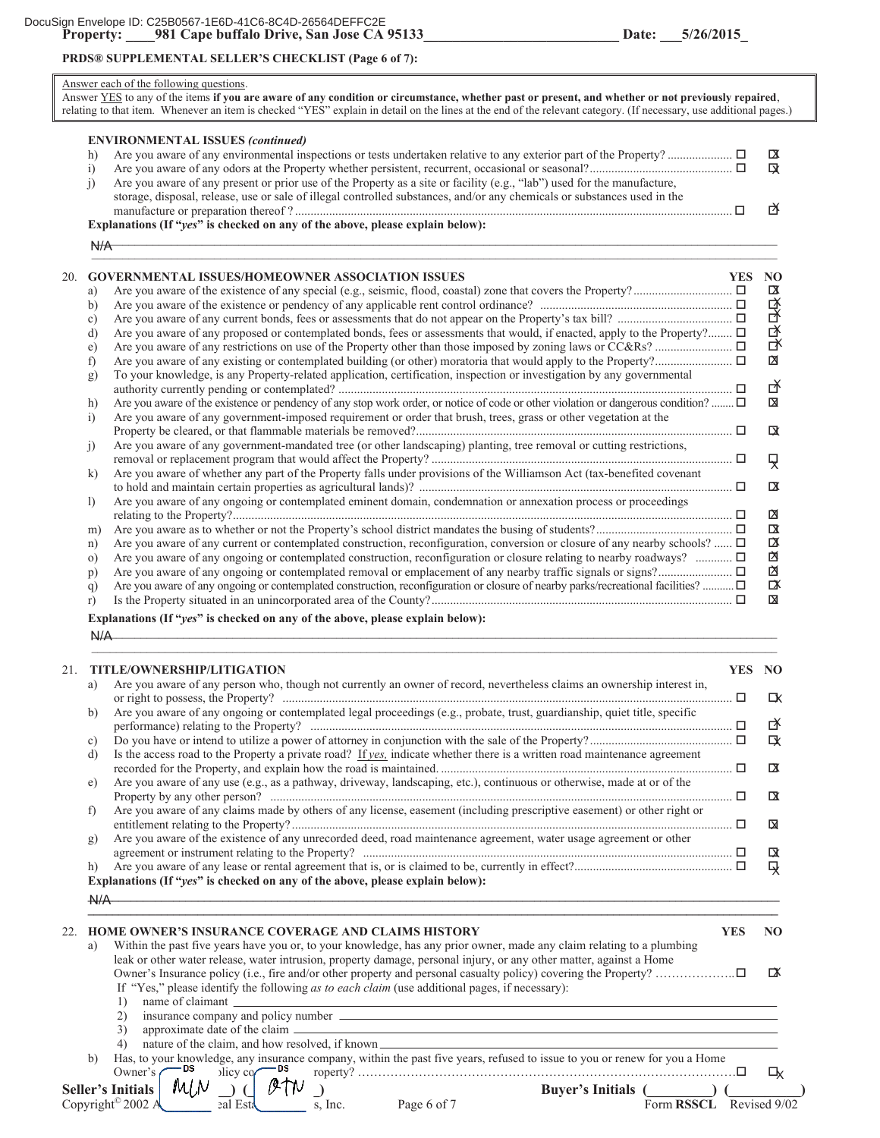## **PRDS® SUPPLEMENTAL SELLER'S CHECKLIST (Page 6 of 7):**

#### Answer each of the following questions. Answer YES to any of the items **if you are aware of any condition or circumstance, whether past or present, and whether or not previously repaired**, relating to that item. Whenever an item is checked "YES" explain in detail on the lines at the end of the relevant category. (If necessary, use additional pages.) **ENVIRONMENTAL ISSUES** *(continued)* h) Are you aware of any environmental inspections or tests undertaken relative to any exterior part of the Property? ..................... i) Are you aware of any odors at the Property whether persistent, recurrent, occasional or seasonal?.............................................. j) Are you aware of any present or prior use of the Property as a site or facility (e.g., "lab") used for the manufacture, storage, disposal, release, use or sale of illegal controlled substances, and/or any chemicals or substances used in the manufacture or preparation thereof ? ............................................................................................................................................. **Explanations (If "***yes***" is checked on any of the above, please explain below):**   $\mathcal{L}^{11}$  $\Box$ 20. **GOVERNMENTAL ISSUES/HOMEOWNER ASSOCIATION ISSUES YES NO** a) Are you aware of the existence of any special (e.g., seismic, flood, coastal) zone that covers the Property?................................ b) Are you aware of the existence or pendency of any applicable rent control ordinance? .............................................................. c) Are you aware of any current bonds, fees or assessments that do not appear on the Property's tax bill? ..................................... d) Are you aware of any proposed or contemplated bonds, fees or assessments that would, if enacted, apply to the Property?........  $\Box$ e) Are you aware of any restrictions on use of the Property other than those imposed by zoning laws or CC&Rs? ......................... f) Are you aware of any existing or contemplated building (or other) moratoria that would apply to the Property?......................... g) To your knowledge, is any Property-related application, certification, inspection or investigation by any governmental authority currently pending or contemplated? ............................................................................................................................... h) Are you aware of the existence or pendency of any stop work order, or notice of code or other violation or dangerous condition? ........  $\Box$ i) Are you aware of any government-imposed requirement or order that brush, trees, grass or other vegetation at the Property be cleared, or that flammable materials be removed?...................................................................................................... j) Are you aware of any government-mandated tree (or other landscaping) planting, tree removal or cutting restrictions, removal or replacement program that would affect the Property? ................................................................................................. k) Are you aware of whether any part of the Property falls under provisions of the Williamson Act (tax-benefited covenant to hold and maintain certain properties as agricultural lands)? ..................................................................................................... l) Are you aware of any ongoing or contemplated eminent domain, condemnation or annexation process or proceedings relating to the Property?................................................................................................................................................................. m) Are you aware as to whether or not the Property's school district mandates the busing of students?............................................ n) Are you aware of any current or contemplated construction, reconfiguration, conversion or closure of any nearby schools? ......  $\Box$ o) Are you aware of any ongoing or contemplated construction, reconfiguration or closure relating to nearby roadways? ............. p) Are you aware of any ongoing or contemplated removal or emplacement of any nearby traffic signals or signs?........................ q) Are you aware of any ongoing or contemplated construction, reconfiguration or closure of nearby parks/recreational facilities? ........... r) Is the Property situated in an unincorporated area of the County?................................................................................................. **Explanations (If "***yes***" is checked on any of the above, please explain below):**  $N/A$  $\sim$  , and the contribution of the contribution of the contribution of the contribution of the contribution of the contribution of the contribution of the contribution of the contribution of the contribution of the contri  $\overline{X}$  $\overline{a}$ 図 囟 ₹ ಗ 啓  $\overline{\mathbf{a}}$  $N/A$ 囟  $\Box$ Ų 戌  $\mathbf{R}$  $\alpha$ 子  $\overline{a}$  $N/A$ Q X 囟  $\overline{\mathbf{X}}$  $\boxtimes$

| 21. |              | <b>TITLE/OWNERSHIP/LITIGATION</b>                                                                                                                                                                                                            | YES NO     |                |
|-----|--------------|----------------------------------------------------------------------------------------------------------------------------------------------------------------------------------------------------------------------------------------------|------------|----------------|
|     | a)           | Are you aware of any person who, though not currently an owner of record, nevertheless claims an ownership interest in,                                                                                                                      | $\Box$     | ГX             |
|     | b)           | Are you aware of any ongoing or contemplated legal proceedings (e.g., probate, trust, guardianship, quiet title, specific                                                                                                                    |            | 啓              |
|     | c)           |                                                                                                                                                                                                                                              |            | LX             |
|     | d)           | Is the access road to the Property a private road? If yes, indicate whether there is a written road maintenance agreement                                                                                                                    |            | $\overline{a}$ |
|     | e)           | Are you aware of any use (e.g., as a pathway, driveway, landscaping, etc.), continuous or otherwise, made at or of the<br>Property by any other person? $\Box$                                                                               |            | ΓX             |
|     | f            | Are you aware of any claims made by others of any license, easement (including prescriptive easement) or other right or                                                                                                                      |            | ⊠              |
|     | g)           | Are you aware of the existence of any unrecorded deed, road maintenance agreement, water usage agreement or other                                                                                                                            |            | ◘              |
|     | h)           | Explanations (If "yes" is checked on any of the above, please explain below):                                                                                                                                                                |            | 及              |
|     | A/A          | <u> 1989 - Jan James Santan, masjid a shekara ta 1989 - An tsara ta 1989 - An tsara ta 1989 - An tsara ta 1989 -</u>                                                                                                                         |            |                |
| 22. |              | <b>HOME OWNER'S INSURANCE COVERAGE AND CLAIMS HISTORY</b>                                                                                                                                                                                    | <b>YES</b> | N <sub>O</sub> |
|     | a)           | Within the past five years have you or, to your knowledge, has any prior owner, made any claim relating to a plumbing<br>leak or other water release, water intrusion, property damage, personal injury, or any other matter, against a Home |            |                |
|     |              | If "Yes," please identify the following as to each claim (use additional pages, if necessary):<br>1)                                                                                                                                         |            | ₥              |
|     |              | 2)                                                                                                                                                                                                                                           |            |                |
|     |              | 3)<br>approximate date of the claim entries and the contract of the claim entries and the claim entries are the claim.<br>nature of the claim, and how resolved, if known<br>4)                                                              |            |                |
|     | $\mathbf{b}$ | Has, to your knowledge, any insurance company, within the past five years, refused to issue to you or renew for you a Home<br>Owner's $\sim$ <sup>DS</sup><br>blicy $cq$ <sup>DS</sup>                                                       |            | LУ             |
|     |              | Seller's Initials   MLN $\supseteq \bigcup \mathscr{O}$ ( $\mathscr{V}$ $\mathcal{W}$<br><b>Buyer's Initials</b> (<br>Copyright <sup>©</sup> 2002 A<br>$\overline{\text{gal Est}}$ s, Inc. Page 6 of 7<br>Form RSSCL Revised 9/02            |            |                |